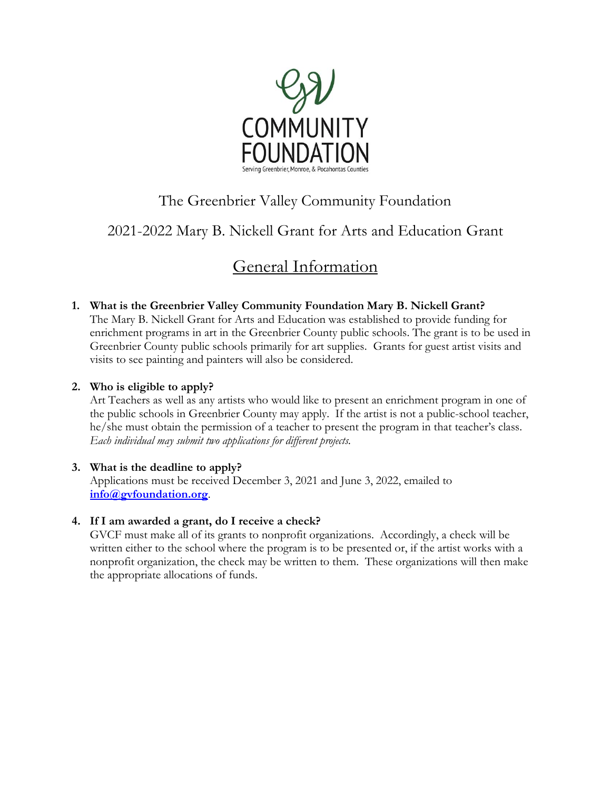

## The Greenbrier Valley Community Foundation

## 2021-2022 Mary B. Nickell Grant for Arts and Education Grant

# General Information

**1. What is the Greenbrier Valley Community Foundation Mary B. Nickell Grant?** The Mary B. Nickell Grant for Arts and Education was established to provide funding for enrichment programs in art in the Greenbrier County public schools. The grant is to be used in Greenbrier County public schools primarily for art supplies. Grants for guest artist visits and visits to see painting and painters will also be considered.

#### **2. Who is eligible to apply?**

Art Teachers as well as any artists who would like to present an enrichment program in one of the public schools in Greenbrier County may apply. If the artist is not a public-school teacher, he/she must obtain the permission of a teacher to present the program in that teacher's class. *Each individual may submit two applications for different projects.*

#### **3. What is the deadline to apply?**

Applications must be received December 3, 2021 and June 3, 2022, emailed to **[info@gvfoundation.org](mailto:info@gvfoundation.org)**.

#### **4. If I am awarded a grant, do I receive a check?**

GVCF must make all of its grants to nonprofit organizations. Accordingly, a check will be written either to the school where the program is to be presented or, if the artist works with a nonprofit organization, the check may be written to them. These organizations will then make the appropriate allocations of funds.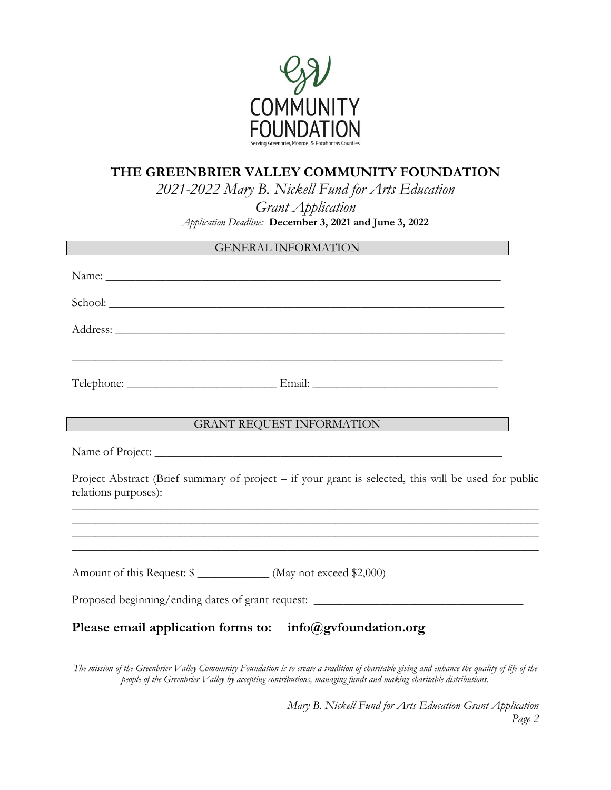

### **THE GREENBRIER VALLEY COMMUNITY FOUNDATION**

*2021-2022 Mary B. Nickell Fund for Arts Education* 

*Grant Application Application Deadline:* **December 3, 2021 and June 3, 2022**

| GENERAL INFORMATION                                                                                                          |  |
|------------------------------------------------------------------------------------------------------------------------------|--|
|                                                                                                                              |  |
| School:                                                                                                                      |  |
|                                                                                                                              |  |
|                                                                                                                              |  |
|                                                                                                                              |  |
| GRANT REQUEST INFORMATION                                                                                                    |  |
|                                                                                                                              |  |
| Project Abstract (Brief summary of project – if your grant is selected, this will be used for public<br>relations purposes): |  |
| ,我们也不能在这里的时候,我们也不能在这里的时候,我们也不能在这里的时候,我们也不能会在这里的时候,我们也不能会在这里的时候,我们也不能会在这里的时候,我们也不能                                            |  |
|                                                                                                                              |  |
| Amount of this Request: \$ _____________ (May not exceed \$2,000)                                                            |  |
| Proposed beginning/ending dates of grant request: _______________________________                                            |  |
| Please email application forms to: info@gvfoundation.org                                                                     |  |

*The mission of the Greenbrier Valley Community Foundation is to create a tradition of charitable giving and enhance the quality of life of the people of the Greenbrier Valley by accepting contributions, managing funds and making charitable distributions.*

> *Mary B. Nickell Fund for Arts Education Grant Application Page 2*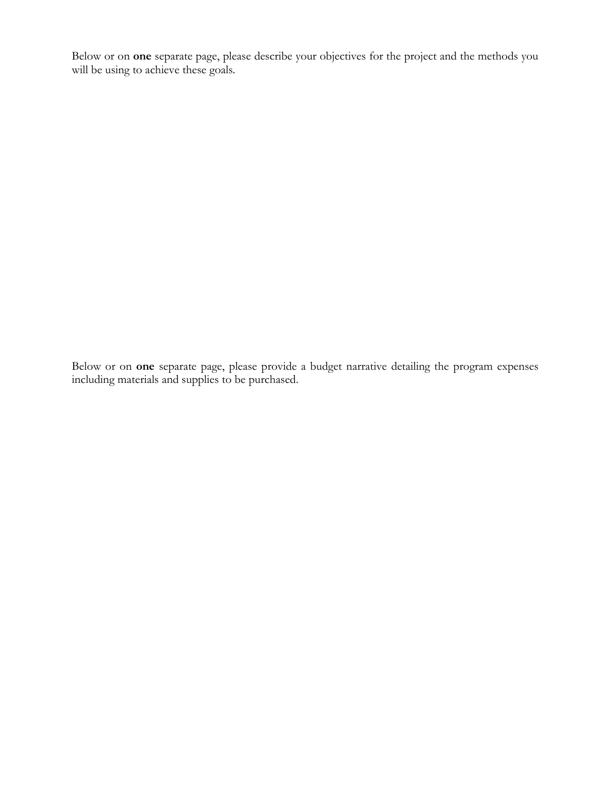Below or on **one** separate page, please describe your objectives for the project and the methods you will be using to achieve these goals.

Below or on **one** separate page, please provide a budget narrative detailing the program expenses including materials and supplies to be purchased.